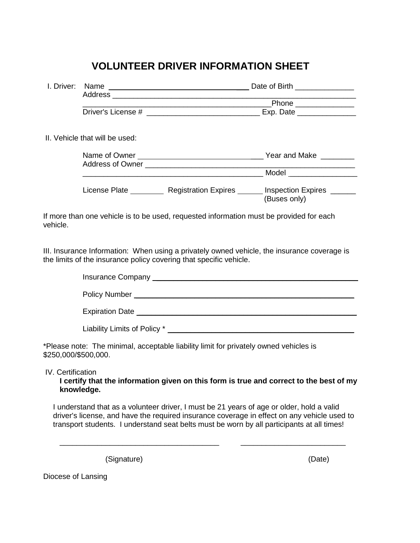## **VOLUNTEER DRIVER INFORMATION SHEET**

|                      | II. Vehicle that will be used: |                                                                                       |                                                                                                                   |  |
|----------------------|--------------------------------|---------------------------------------------------------------------------------------|-------------------------------------------------------------------------------------------------------------------|--|
|                      |                                |                                                                                       | Name of Owner Name of Owner Name of Owner Name of Owner Name of Owner Name of Owner Name of Owner Name of Owner N |  |
|                      |                                |                                                                                       |                                                                                                                   |  |
|                      |                                |                                                                                       |                                                                                                                   |  |
|                      |                                |                                                                                       | License Plate __________ Registration Expires ______ Inspection Expires _______                                   |  |
|                      |                                |                                                                                       | (Buses only)                                                                                                      |  |
| vehicle.             |                                | the limits of the insurance policy covering that specific vehicle.                    | III. Insurance Information: When using a privately owned vehicle, the insurance coverage is                       |  |
|                      |                                |                                                                                       |                                                                                                                   |  |
|                      |                                |                                                                                       |                                                                                                                   |  |
|                      |                                |                                                                                       |                                                                                                                   |  |
|                      |                                |                                                                                       |                                                                                                                   |  |
| \$250,000/\$500,000. |                                | *Please note: The minimal, acceptable liability limit for privately owned vehicles is |                                                                                                                   |  |
| IV. Certification    | knowledge.                     |                                                                                       | I certify that the information given on this form is true and correct to the best of my                           |  |

I understand that as a volunteer driver, I must be 21 years of age or older, hold a valid driver's license, and have the required insurance coverage in effect on any vehicle used to transport students. I understand seat belts must be worn by all participants at all times!

\_\_\_\_\_\_\_\_\_\_\_\_\_\_\_\_\_\_\_\_\_\_\_\_\_\_\_\_\_\_\_\_\_\_\_\_\_\_ \_\_\_\_\_\_\_\_\_\_\_\_\_\_\_\_\_\_\_\_\_\_\_\_\_

(Signature) (Date)

Diocese of Lansing